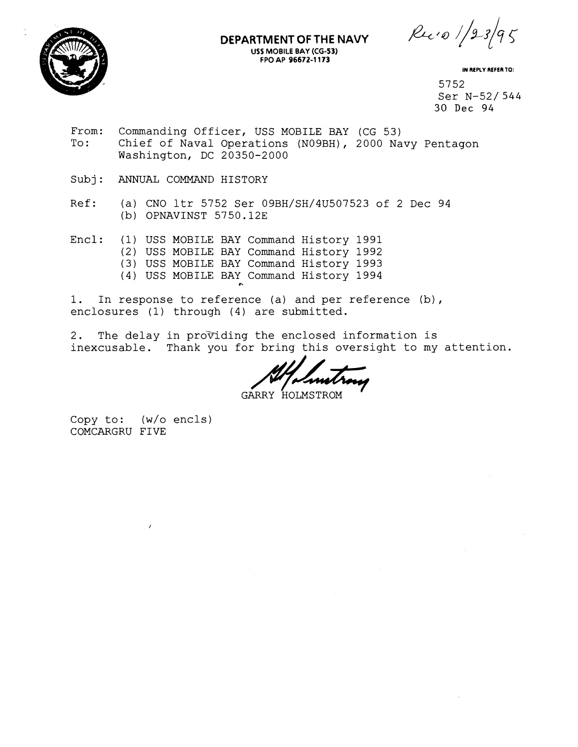

#### **DEPARTMENT OF THE NAVY USS MOBILE BAY (CG-53) FPO AP 96672-1 173**

 $Ru \cdot o$  /23/95

**IN REPLY REFER TO:** 

5752 Ser N-52/ 544 30 Dec 94

- From: Commanding Officer, USS MOBILE BAY (CG 53)<br>To: Chief of Naval Operations (N09BH), 2000 Na Chief of Naval Operations (NO9BH), 2000 Navy Pentagon Washington, DC 20350-2000
- Subj: ANNUAL COMMAND HISTORY
- Ref: (a) CNO ltr 5752 Ser 09BH/SH/4U507523 of 2 Dec 94 (b) OPNAVINST 5750.12E
- Encl: (1) USS MOBILE BAY Command History 1991 (2) USS MOBILE BAY Command History 1992 (3) USS MOBILE BAY Command History 1993 (4) USS MOBILE BAY Command History 1994
- 1. In response to reference (a) and per reference (b), enclosures (1) through (4) are submitted.
- 2. The delay in providing the enclosed information is inexcusable. Thank you for bring this oversight to my attention.

GARRY HOLMSTROM '

Copy to:  $(w/o$  encls) COMCARGRU FIVE

 $\prime$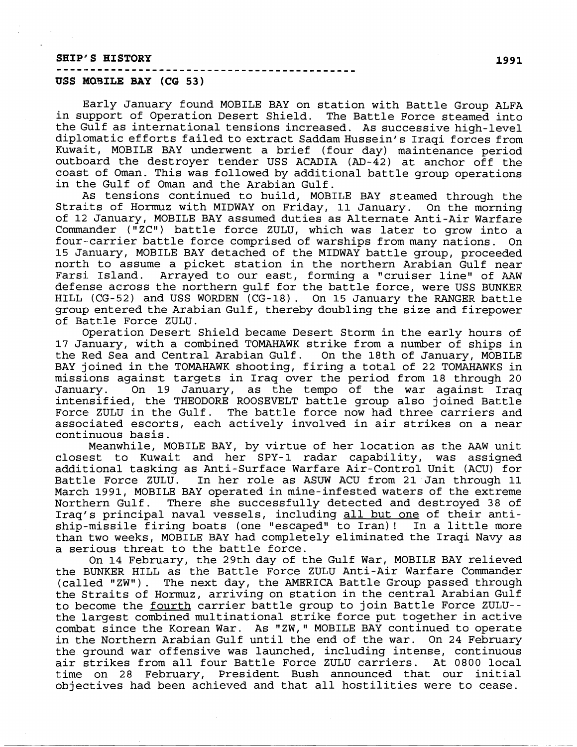#### SHIP'S HISTORY **1991**

#### ----.------------------,---------------------- **USS MO3ILE BAY (CG 53)**

Early January found MOBILE BAY on station with Battle Group ALFA in support of Operation Desert Shield. The Battle Force steamed into the Gulf as international tensions increased. As successive high-level diplomatic efforts failed to extract Saddam Hussein's Iraqi forces from Kuwait, MOBILE BAY underwent a brief (four day) maintenance period outboard the destroyer tender USS ACADIA (AD-42) at anchor off the coast; of Oman. This was followed by additional battle group operations in the Gulf of Oman and the Arabian Gulf.

As tensions continued to build, MOBILE BAY steamed through the Straits of Hormuz with MIDWAY on Friday, 11 January. On the morning of 12 January, MOBILE BAY assumed duties as Alternate Anti-Air Warfare Commander ("ZC") battle force ZULU, which was later to grow into a f our--carrier battle force comprised of warships from many nations. On 15 January, MOBILE BAY detached of the MIDWAY battle group, proceeded north to assume a picket station in the northern Arabian Gulf near Arrayed to our east, forming a "cruiser line" of AAW defense across the northern gulf for the battle force, were USS BUNKER HILL (CG-52) and USS WORDEN (CG-18). On 15 January the RANGER battle group entered the Arabian Gulf, thereby doubling the size and firepower of Battle Force ZULU.

Operation Desert Shield became Desert Storm in the early hours of 17 January, with a combined TOMAHAWK strike from a number of ships in the Red Sea and Central Arabian Gulf. On the 18th of January, MOBILE BAY joined in the TOMAHAWK shooting, firing a total of 22 TOMAHAWKS in missions against targets in Iraq over the period from 18 through 20 January. On 19 January, as the tempo of the war against Iraq intensified, the THEODORE ROOSEVELT battle group also joined Battle Force ZULU in the Gulf. The battle force now had three carriers and associated escorts, each actively involved in air strikes on a near continuous basis.

Meanwhile, MOBILE BAY, by virtue of her location as the AAW unit closest to Kuwait and her SPY-1 radar capability, was assigned additional tasking as Anti-Surface Warfare Air-Control Unit (ACU) for Battle Force ZULU. In her role as ASUW ACU from 21 Jan through 11 March.1991, MOBILE BAY operated in mine-infested waters of the extreme Northern Gulf. There she successfully detected and destroyed 38 of Iraq's principal naval vessels, including all but one of their antiship-missile firing boats (one "escaped" to Iran)! In a little more than two weeks, MOBILE BAY had completely eliminated the Iraqi Navy as a serious threat to the battle force.

On 14 February, the 29th day of the Gulf War, MOBILE BAY relieved the EIUNKER HILL as the Battle Force ZULU Anti-Air Warfare Commander (called "ZWW). The next day, the AMERICA Battle Group passed through the Straits of Hormuz, arriving on station in the central Arabian Gulf to become the <u>fourth</u> carrier battle group to join Battle Force ZULU-the largest combined multinational strike force put together in active combat since the Korean War. As "ZW," MOBILE BAY continued to operate in the Northern Arabian Gulf until the end of the war. On 24 February the ground war offensive was launched, including intense, continuous air strikes from all four Battle Force ZULU carriers. At 0800 local time on 28 February, President Bush announced that our initial objectives had been achieved and that all hostilities were to cease.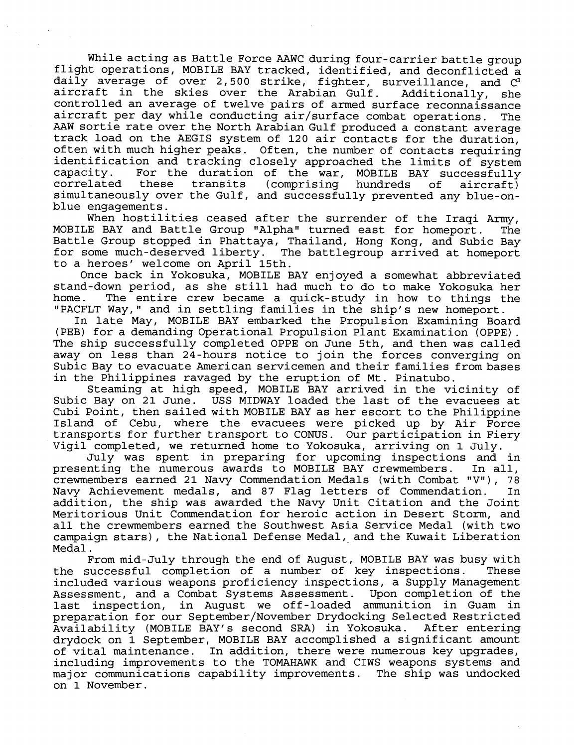While acting as Battle Force AAWC during four-carrier battle group flight operations, MOBILE BAY tracked, identified, and deconflicted a daily average of over 2,500 strike, fighter, surveillance, and  $C^3$ aircraft in the skies over the Arabian Gulf. Additionally, she controlled an average of twelve pairs of armed surface reconnaissance aircraft per day while conducting air/surface combat operations. The AAW sortie rate over the North Arabian Gulf produced a constant average track: load on the AEGIS system of 120 air contacts for the duration, often with much higher peaks. Often, the number of contacts requiring identification and tracking closely approached the limits of system<br>capacity. For the duration of the war. MOBILE BAY successfully For the duration of the war, MOBILE BAY successfully correlated these transits (comprising hundreds of aircraft) simultaneously over the Gulf, and successfully prevented any blue-onblue engagements.

When hostilities ceased after the surrender of the Iraqi Army, MOBILE BAY and Battle Group "Alpha" turned east for homeport. The Battle Group stopped in Phattaya, Thailand, Hong Kong, and Subic Bay for some much-deserved liberty. The battlegroup arrived at homeport to a heroes' welcome on April 15th.

Once back in Yokosuka, MOBILE BAY enjoyed a somewhat abbreviated stand-down period, as she still had much to do to make Yokosuka her home. The entire crew became a quick-study in how to things the "PACFLT Way," and in settling families in the ship's new homeport.

In late May, MOBILE BAY embarked the Propulsion Examining Board<br>(PEB) for a demanding Operational Propulsion Plant Examination (OPPE). The ship successfully completed OPPE on June 5th, and then was called away on less than 24-hours notice to join the forces converging on Subic Bay to evacuate American servicemen and their families from bases in the Philippines ravaged by the eruption of Mt. Pinatubo.

Steaming at high speed, MOBILE BAY arrived in the vicinity of Subic Bay on 21 June. USS MIDWAY loaded the last of the evacuees at Cubi Point, then sailed with MOBILE BAY as her escort to the Philippine Island of Cebu, where the evacuees were picked up by Air Force transports for further transport to CONUS. Our participation in Fiery Vigil completed, we returned home to Yokosuka, arriving on 1 July.

July was spent in preparing for upcoming inspections and in presenting the numerous awards to MOBILE BAY crewmembers. crewmembers earned 21 Navy Commendation Medals (with Combat " $V''$ ), 78 Navy Achievement medals, and 87 Flag letters of Commendation. In addition, the ship was awarded the Navy Unit Citation and the Joint Meritorious Unit Commendation for heroic action in Desert Storm, and all the crewmembers earned the Southwest Asia Service Medal (with two campaign stars), the National Defense Medal, and the Kuwait Liberation Medal.

From mid-July through the end of August, MOBILE BAY was busy with the successful completion of a number of key inspections. These included various weapons proficiency inspections, a Supply Management Assessment, and a Combat Systems Assessment. Upon completion of the last inspection, in August we off-loaded ammunition in Guam in preparation for our September/November Drydocking Selected Restricted<br>Availability (MOBILE BAY's second SRA) in Yokosuka. After entering Availability (MOBILE BAY's second SRA) in Yokosuka. drydock on 1 September, MOBILE BAY accomplished a significant amount of vital maintenance. In addition, there were numerous key upgrades, including improvements to the TOMAHAWK and CIWS weapons systems and major communications capability improvements. The ship was undocked on 1 November.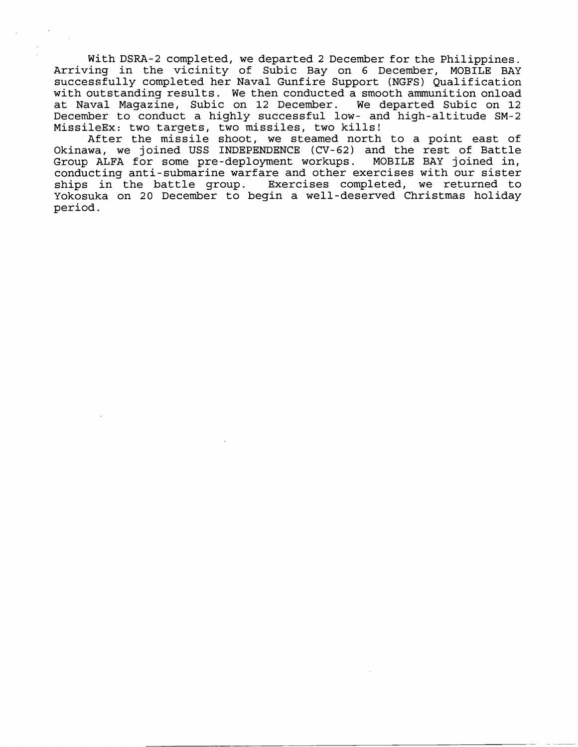With DSRA-2 completed, we departed 2 December for the Philippines. Arriving in the vicinity of Subic Bay on 6 December, MOBILE BAY successfully completed her Naval Gunfire Support (NGFS) Qualification with outstanding results. We then conducted a smooth ammunition onload at Naval Magazine, Subic on 12 December. We departed Subic on 12 December to conduct a highly successful low- and high-altitude SM-2 MissileEx: two targets, two missiles, two kills!

After the missile shoot, we steamed north to a point east of Okinawa, we joined USS INDEPENDENCE (CV-62) and the rest of Battle Group ALFA for some pre-deployment workups. MOBILE BAY joined in, conducting anti-submarine warfare and other exercises with our sister ships in the battle group. Exercises completed, we returned to Yokosuka on 20 December to begin a well-deserved Christmas holiday periold.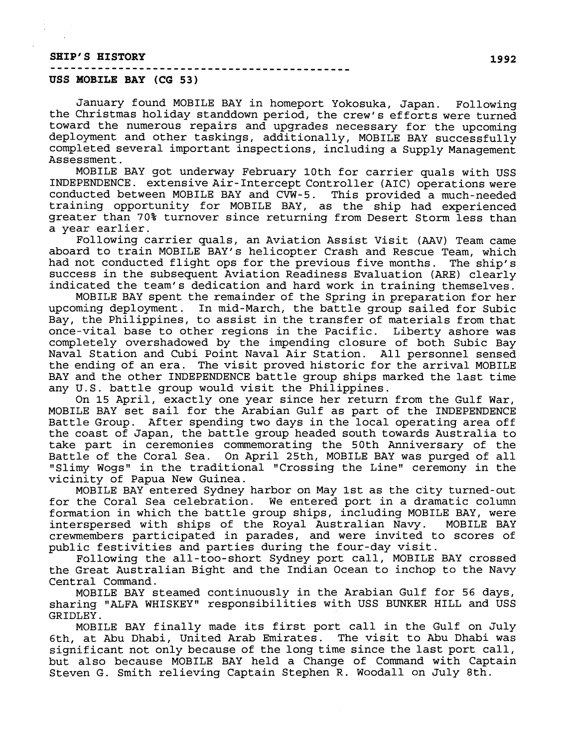# **SHIP'S HISTORY** ............................................

#### **USS MOB.ILE BAY (CG 53)**

January found MOBILE BAY in homeport Yokosuka, Japan. Following the Christmas holiday standdown period, the crew's efforts were turned toward the numerous repairs and upgrades necessary for the upcoming deployment and other taskings, additionally, MOBILE BAY successfully completed several important inspections, including a Supply Management Assessment.

MOBILE BAY got underway February 10th for carrier quals with USS INDEPENDENCE. extensive Air-Intercept Controller (AIC) operations were conducted between MOB1L:E BAY and CVW-5. This provided a much-needed training opportunity for MOBILE BAY, as the ship had experienced greater than 70% turnover since returning from Desert Storm less than a year earlier.

Following carrier quals, an Aviation Assist Visit **(AAV)** Team came aboard to train MOBILE BAY'S helicopter Crash and Rescue Team, which had not conducted flight ops for the previous five months. The ship's success in the subsequent Aviation Readiness Evaluation (ARE) clearly indicated the team's dedication and hard work in training themselves.

MOBILE BAY spent the remainder of the Spring in preparation for her upcoming deployment. In mid-March, the battle group sailed for Subic Bay, the Philippines, to assist in the transfer of materials from that once-vital base to other regions in the Pacific. Liberty ashore was completely overshadowed by the impending closure of both Subic Bay Naval Station and Cubi Point Naval Air Station. All personnel sensed the ending of an era. The visit proved historic for the arrival MOBILE BAY and the other INDEPENDENCE battle group ships marked the last time any U.S. battle group would visit the Philippines.

On 15 April, exactly one year since her return from the Gulf War, MOBILE BAY set sail for the Arabian Gulf as part of the INDEPENDENCE Battle Group. After spending two days in the local operating area off the coast of Japan, the battle group headed south towards Australia to take part in ceremonies commemorating the 50th Anniversary of the Battle of the Coral Sea. On April 25th, MOBILE BAY was purged of all "Slimy Wogs" in the traditional "Crossing the Line" ceremony in the vicinity of Papua New Guinea.

MOBILE BAY entered Sydney harbor on May 1st as the c'ity turned-out for the Coral Sea celebration. We entered port in a dramatic column formation in which the battle group ships, including MOBILE BAY, were interspersed with ships of the Royal Australian Navy. MOBILE BAY interspersed with ships of the Royal Australian Navy. crewmembers participated in parades, and were invited to scores of public festivities and parties during the four-day visit.

Following the all-too-short Sydney port call, MOBILE BAY crossed the Great Australian Bight and the Indian Ocean to inchop to the Navy Central Command.

MOBILE BAY steamed continuously in the Arabian Gulf for 56 days, sharing "ALFA WHISKEY" responsibilities with USS BUNKER HILL and USS GRIDLEY.

MOBILE BAY finally made its first port call in the Gulf on July 6th, at Abu Dhabi, United Arab Emirates. The visit to Abu Dhabi was significant not only because of the long time since the last port call, but also because MOBILE BAY held a Change of Command with Captain Steven G. Smith relieving Captain Stephen R. Woodall on July 8th.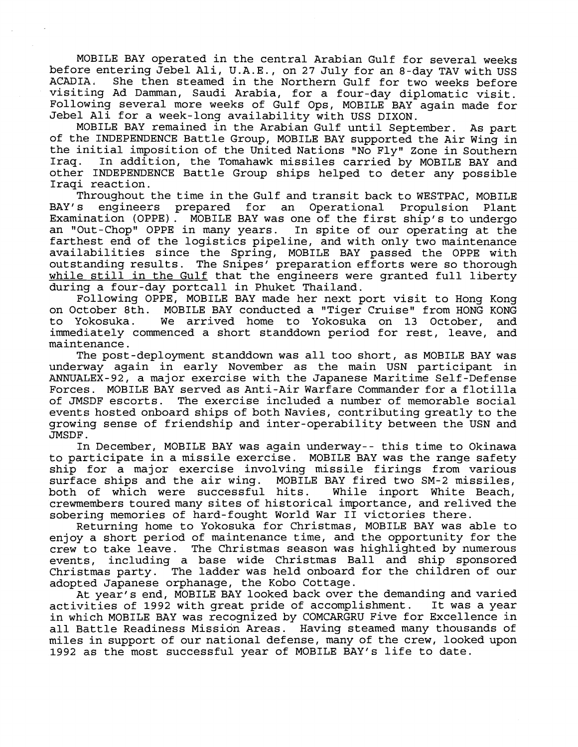MOBILE BAY operated in the central Arabian Gulf for several weeks before entering Jebel Ali, U.A.E., on 27 July for an 8-day TAV with USS<br>ACADIA. She then steamed in the Northern Gulf for two weeks before She then steamed in the Northern Gulf for two weeks before visiting Ad Damman, Saudi Arabia, for a four-day diplomatic visit. Following several more weeks of Gulf Ops, MOBILE BAY again made for Jebel Ali for a week-long availability with USS DIXON.

MOBILE BAY remained in the Arabian Gulf until September. As part of the INDEPENDENCE Battle Group, MOBILE BAY supported the Air Wing in the initial imposition of the United Nations "No Fly" Zone in Southern<br>Irag. In addition, the Tomahawk missiles carried by MOBILE BAY and In addition, the Tomahawk missiles carried by MOBILE BAY and other INDEPENDENCE Battle Group ships helped to deter any possible Iraqi reaction.

Throughout the time in the Gulf and transit back to WESTPAC, MOBILE<br>BAY's engineers prepared for an Operational Propulsion Plant engineers prepared for an Operational Propulsion Plant Examination (OPPE) . MOBILE BAY was one of the first ship's to undergo an "Out-Chop" OPPE in many years. In spite of our operating at the farthest end of the logistics pipeline, and with only two maintenance availabilities since the Spring, MOBILE BAY passed the OPPE with outstanding results. The Snipes' preparation efforts were so thorough while still in the Gulf that the engineers were granted full liberty during a four-day portcall in Phuket Thailand.

Following OPPE, MOBILE BAY made her next port visit to Hong Kong on October 8th. MOBILE BAY conducted a "Tiger Cruise" from HONG KONG MOBILE BAY conducted a "Tiger Cruise" from HONG KONG to Yokosuka . We arrived home to Yokosuka on 13 October, and immediately commenced a short standdown period for rest, leave, and maintenance.

The post -deployment standdown was all too short, as MOBILE BAY was underway again in early November as the main USN participant in ANNUALEX-92, a major exercise with the Japanese Maritime Self-Defense Forces. MOBILE BAY served as Anti-Air Warfare Commander for a flotilla of JMSDF escorts. The exercise included a number of memorable social events hosted onboard ships of both Navies, contributing greatly to the growing sense of friendship and inter-operability between the USN and JMSDF .

In December, MOBILE BAY was again underway-- this time to Okinawa to participate in a missile exercise. MOBILE BAY was the range safety ship for a major exercise involving missile firings from various surface ships and the air wing. MOBILE BAY fired two SM-2 missiles, both of which were successful hits. While inport White Beach, crewmembers touredmany sites of historical importance, and relived the sobering memories of hard-fought World War I1 victories there.

Returning home to Yokosuka for Christmas, MOBILE BAY was able to enjoy a short period of maintenance time, and the opportunity for the crew to take leave. The Christmas season was highlighted by numerous events, including a base wide Christmas Ball and ship sponsored Christmas party. The ladder was held onboard for the children of our adopted Japanese orphanage, the Kobo Cottage.

At year's end, MOBILE BAY looked back over the demanding and varied<br>vities of 1992 with great pride of accomplishment. It was a year activities of 1992 with great pride of accomplishment. in which MOBILE BAY was recognized by COMCARGRU Five for Excellence in all Battle Readiness Mission Areas. Having steamed many thousands of miles in support of our national defense, many of the crew, looked upon 1992 as the most successful year of MOBILE BAY'S life to date.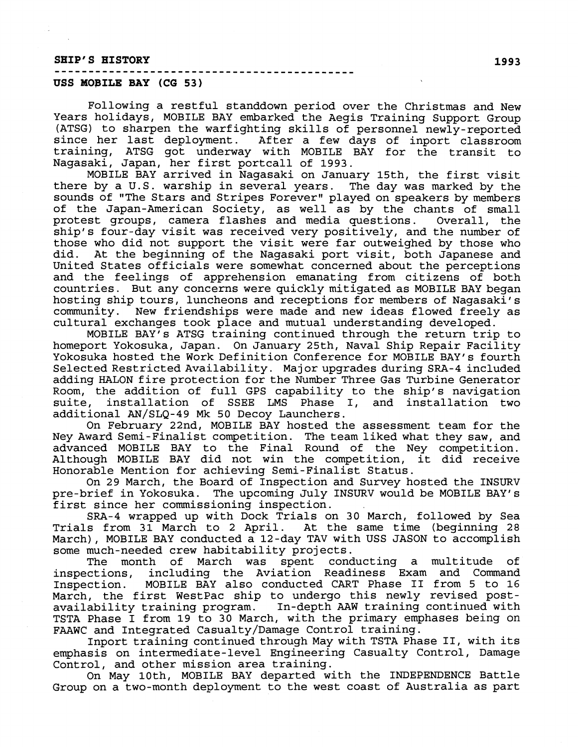## **SHIP'S HISTORY** ............................................

### **USS MOBILE BAY (CG 53)**

Following a restful standdown period over the Christmas and New Years holidays, MOBILE BAY embarked the Aegis Training Support Group (ATSG) to sharpen the warfighting skills of personnel newly-reported since her last deployment. After a few days of inport classroom training, ATSG got underway with MOBILE BAY for the transit to Nagasaki, Japan, her first portcall of 1993.

MOBILE BAY arrived in Nagasaki on January 15th, the first visit there by a U.S. warship in several years. The day was marked by the sounds of "The Stars and Stripes Forever" played on speakers by members of the Japan-American Society, as well as by the chants of small protest groups, camera flashes and media questions. Overall, the ship's four-day visit was received very positively, and the number of those who did not support the visit were far outweighed by those who<br>did. At the beginning of the Nagasaki port visit, both Japanese and At the beginning of the Nagasaki port visit, both Japanese and United States officials were somewhat concerned about the perceptions and the feelings of apprehension emanating from citizens of both countries. But any concerns were quickly mitigated as MOBILE BAY began hosting ship tours, luncheons and receptions for members of Nagasaki's community. New friendships were made and new ideas flowed freely as cultural exchanges took place and mutual understanding developed.

MOBILE BAY'S ATSG training continued through the return trip to homeport Yokosuka, Japan. On January 25th, Naval Ship Repair Facility Yokosuka hosted the Work Definition Conference for MOBILE BAY'S fourth Selected Restricted Availability. Major upgrades during SRA-4 included adding HALON fire protection for the Number Three Gas Turbine Generator Room, the addition of full GPS capability to the ship's navigation suite, installation of SSEE LMS Phase I, and installation two additional AN/SLQ-49 Mk 50 Decoy Launchers.

On February 22nd, MOBILE BAY hosted the assessment team for the Ney Award Semi-Finalist competition. The team liked what they saw, and advanced MOBILE BAY to the Final Round of the Ney competition. Although MOBILE BAY did not win the competition, it did receive Honorable Mention for achieving Semi-Finalist Status.

On 29 March, the Board of Inspection and Survey hosted the INSURV pre-brief in Yokosuka. The upcoming July INSURV would be MOBILE BAY'S first since her commissioning inspection.

SRA-4 wrapped up with Dock Trials on 30 March, followed by Sea Trials from 31 March to 2 April. At the same time (beginning 28 March), MOBILE BAY conducted a 12-day TAV with USS JASON to accomplish some much-needed crew habitability projects.

The month of March was spent conducting a multitude of inspections, including the Aviation Readiness Exam and Command<br>Inspection. MOBILE BAY also conducted CART Phase II from 5 to 16 MOBILE BAY also conducted CART Phase II from 5 to 16 March, the first WestPac ship to undergo this newly revised post-<br>availability training program. In-depth AAW training continued with availability training program. TSTA Phase I from 19 to 30 March, with the primary emphases being on FAAWC and Integrated Casualty/Damage Control training.

Inport training continued through May with TSTA Phase 11, with its emphasis on intermediate-level Engineering Casualty Control, Damage Control, and other mission area training.

On May loth, MOBILE BAY departed with the INDEPENDENCE Battle Group on a two-month deployment to the west coast of Australia as part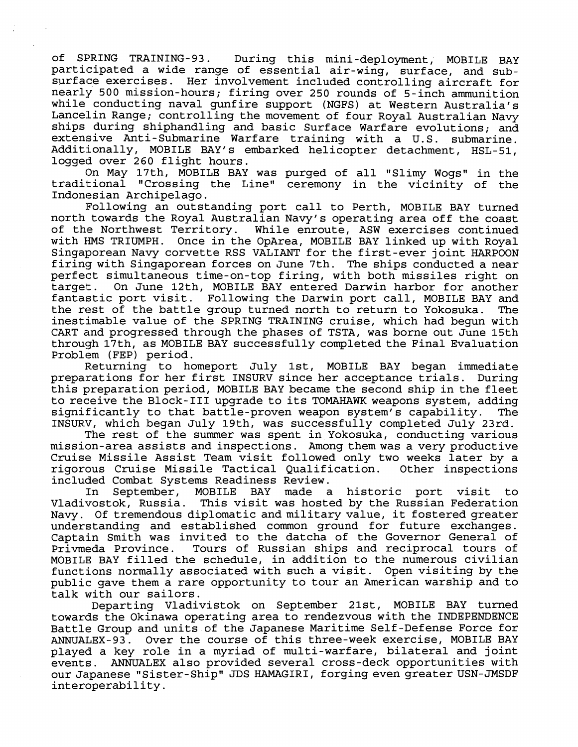of SPRING TRAINING-93. During this mini-deployment, MOBILE BAY participated a wide range of essential air-wing, surface, and subsurface exercises. Her involvement included controlling aircraft for nearly 500 mission-hours; firing over 250 rounds of 5-inch ammunition while conducting naval gunfire support (NGFS) at Western Australia's Lancelin Range; controlling the movement of four Royal Australian Navy ships during shiphandling and basic Surface Warfare evolutions; and extensive Anti-Submarine Warfare training with a U.S. submarine. Addit:ionally, MOBILE BAY'S embarked helicopter detachment, HSL-51, logged over 260 flight hours.

On May 17th, MOBILE BAY was purged of all "Slimy Wogs" in the traditional "Crossing the Line1' ceremony in the vicinity of the Indonesian Archipelago.

Following an outstanding port call to Perth, MOBILE BAY turned north towards the Royal Australian Navy's operating area off the coast of the Northwest Territory. While enroute, ASW exercises continued with HMS TRIUMPH. Once in the OpArea, MOBILE BAY linked up with Roval Singaporean Navy corvette RSS VALIANT for the first-ever joint HARPOON firing with Singaporean forces on June 7th. The ships conducted a near perfect simultaneous time-on-top firing, with both missiles right on<br>target. On June 12th, MOBILE BAY entered Darwin harbor for another On June 12th, MOBILE BAY entered Darwin harbor for another fantastic port visit. Following the Darwin port call, MOBILE BAY and<br>the rest of the battle group turned north to return to Yokosuka. The the rest of the battle group turned north to return to Yokosuka. inestimable value of the SPRING TRAINING cruise, which had begun with CART and progressed through the phases of TSTA, was borne out June 15th through 17th, as MOBILE HAY successfully completed the Final Evaluation Problem (FEP) period.

Returning to homeport July lst, MOBILE BAY began immediate preparations for her first INSURV since her acceptance trials. During this preparation period, MOBILE BAY became the second ship in the fleet to receive the Block-III upgrade to its TOMAHAWK weapons system, adding<br>significantly to that battle-proven weapon system's capability. The significantly to that battle-proven weapon system's capability. INSURV, which began July 19th, was successfully completed July 23rd.

The rest of the summer was spent in Yokosuka, conducting various mission-area assists and inspections. Among them was a very productive Cruise Missile Assist Team visit followed only two weeks later by a rigorous Cruise Missile Tactical Qualification. Other inspections included Combat Systems Readiness Review.

In September, MOBILE BAY made a historic port visit to Vladivostok, Russia. This visit was hosted by the Russian Federation Navy. Of tremendous diplomatic and military value, it fostered greater understanding and established common ground for future exchanges. Captain Smith was invited to the datcha of the Governor General of Tours of Russian ships and reciprocal tours of MOBILIE BAY filled the schedule, in addition to the numerous civilian functions normally associated with such a visit. Open visiting by the public gave them a rare opportunity to tour an American warship and to talk with our sailors.

Departing Vladivistok on September 21st, MOBILE BAY turned towards the Okinawa operating area to rendezvous with the **INDEPENDENCE**  Battle Group and units of the Japanese Maritime Self-Defense Force for ANNUALEX-93. Over the course of this three-week exercise, MOBILE BAY played a key role in a myriad of multi-warfare, bilateral and joint events. ANNUALEX also provided several cross-deck opportunities with our Japanese "Sister-Ship" JDS HAMAGIRI, forging even greater USN-JMSDF interoperability.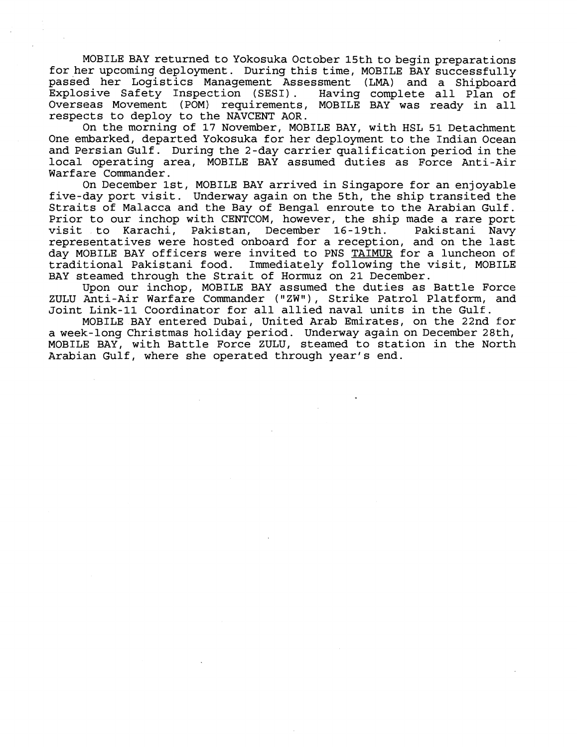MOBILE BAY returned to Yokosuka October 15th to begin preparations for her upcoming deployment. During this time, MOBILE BAY successfully passed her Logistics Management Assessment (LMA) and a Shipboard Explosive Safety Inspection (SESI). Overseas Movement (POM) requirements, MOBILE BAY was ready in all respects to deploy to the NAVCENT AOR.

On the morning of 17 November, MOBILE BAY, with HSL 51 Detachment One embarked, departed Yokosuka for her deployment to the Indian Ocean and Persian Gulf. During the 2-day carrier qualification period in the local operating area, MOBILE BAY assumed duties as Force Anti-Air Warfare Commander.

On December lst, MOBILE BAY arrived in Singapore for an enjoyable five-day port visit. Underway again on the 5th, the ship transited the Straits of Malacca and tihe Bay of Bengal enroute to the Arabian Gulf. Prior to our inchop with CENTCOM, however, the ship made a rare port<br>visit to Karachi, Pakistan, December 16-19th. Pakistani Navy visit to Karachi, Pakistan, December 16-19th. representatives were hosted onboard for a reception, and on the last day MOBILE BAY officers were invited to PNS TAIMUR for a luncheon of<br>traditional Pakistani food. Immediately following the visit, MOBILE Immediately following the visit, MOBILE BAY steamed through the Strait of Hormuz on 21 December.

lJpon our inchop, MOBILE BAY assumed the duties as Battle Force ZULU Anti-Air Warfare Commander ("ZW"), Strike Patrol Platform, and Joint Link-11 Coordinator for all allied naval units in the Gulf.

MOBILE BAY entered Dubai, United Arab Emirates, on the 22nd for a week.-long Christmas holiday period. Underway again on December 28th, MOBILE BAY, with Battle Force ZULU, steamed to station in the North Arabian Gulf, where she operated through year's end.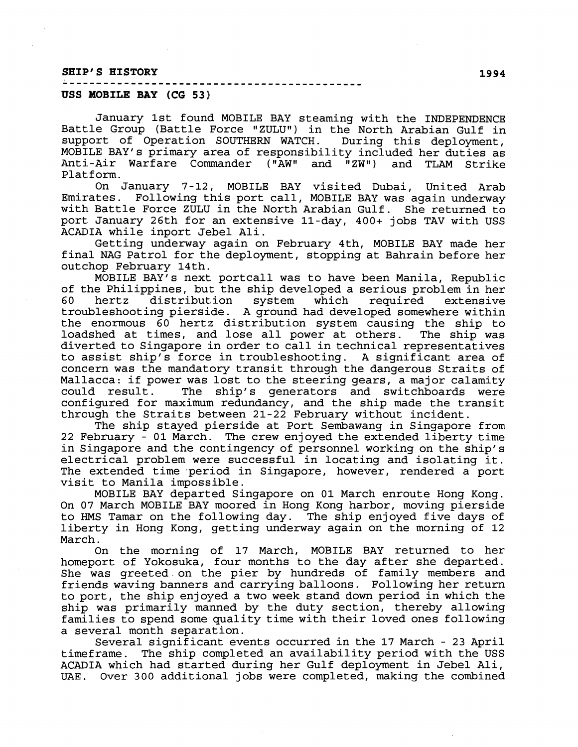#### SHIP'S HISTORY

#### **USS MOBILE BAY (CG 53)**

January 1st found MOBILE BAY steaming with the INDEPENDENCE Battle Group (Battle Force "ZULU") in the North Arabian Gulf in support of Operation SOUTHERN WATCH. During this deployment, MOBILE BAY'S primary area of responsibility included her duties as Anti-Air Warfare Commander ("AW" and "ZW") and TLAM Strike Platform.

On January 7-12, MOBILE BAY visited Dubai, United Arab Emirates. Following this port call, MOBILE BAY was again underway with Battle Force ZULU' in the North Arabian Gulf. She returned to port January 26th for an extensive 11-day, 400+ jobs TAV with USS ACADIA while inport Jebel Ali.

Getting underway again on February 4th, MOBILE BAY made her final NAG Patrol for the deployment, stopping at Bahrain before her outchop February 14th.

MOBILE BAY'S next portcall was to have been Manila, Republic of the Philippines, but the ship developed a serious problem in her<br>60 hertz distribution system which required extensive 60 hertz distribution system which required extensive troubleshooting pierside. A ground had developed somewhere within the enormous  $\bar{60}$  hertz distribution system causing the ship to loadshed at times, and lose all power at others. The ship was loadshed at times, and lose all power at others. diverted to Singapore in order to call in technical representatives to assist ship's force in troubleshooting. A significant area of concern was the mandatory transit through the dangerous Straits of Mallacca: if power was lost to the steering gears, a major calamity could result. The ship's generators and switchboards were configured for maximum redundancy, and the ship made the transit through the Straits between 21-22 February without incident.

The ship stayed pierside at Port Sembawang in Singapore from 22 February - 01 March. The crew enjoyed the extended liberty time in Singapore and the contingency of personnel working on the ship's electrical problem were successful in locating and isolating it. The extended time period in Singapore, however, rendered a port visit to Manila impossible.

MOBILE BAY departed Singapore on 01 March enroute Hong Kong. On 07 March MOBILE BAY moored in Hong Kong harbor, moving pierside to HMS Tamar on the following day. The ship enjoyed five days of liberty in Hong Kong, getting underway again on the morning of 12 March.

On the morning of 17 March, MOBILE BAY returned to her homeport of Yokosuka, four months to the day after she departed. She was greeted on the pier by hundreds of family members and friends waving banners and carrying balloons. Following her return to port, the ship enjoyed a two week stand down period in which the ship was primarily manned by the duty section, thereby allowing families to spend some quality time with their loved ones following a several month separation.

Several significant events occurred in the 17 March - 23 April timeframe. The ship completed an availability period with the USS ACADIA which had started during her Gulf deployment in Jebel Ali, **UAE.** Over 300 additional jobs were completed, making the combined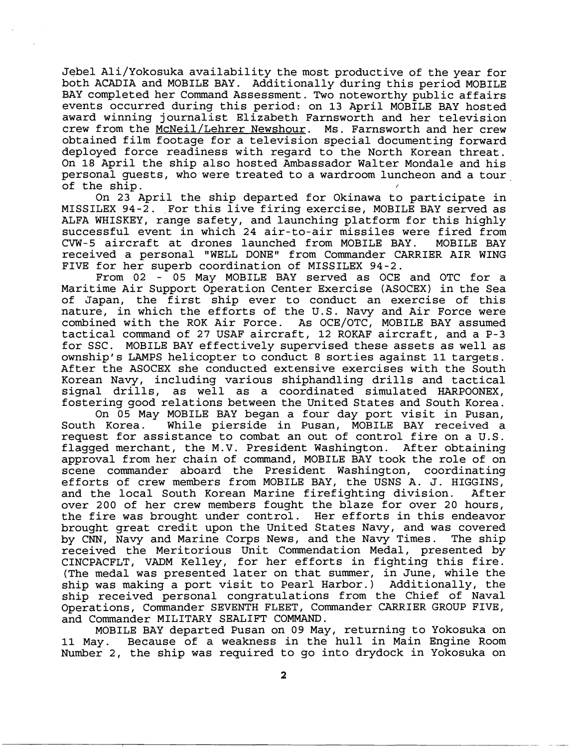Jebel Ali/Yokosuka availability the most productive of the year for both ACADIA and MOBILE BAY. Additionally during this period MOBILE BAY completed her Command Assessment. Two noteworthy public affairs events occurred during this period: on 13 April MOBILE BAY hosted award winning journalist Elizabeth Farnsworth and her television crew from the McNeil/Lehrer Newshour. Ms. Farnsworth and her crew obtained film footage for a television special documenting forward deployed force readiness with regard to the North Korean threat. On 18 April the ship also hosted Ambassador Walter Mondale and his personal guests, who were treated to a wardroom luncheon and a tour of the ship.

On 23 April the ship departed for Okinawa to participate in MISSILEX 94-2. For this live firing exercise, MOBILE BAY served as ALFA WHISKEY, range safety, and launching platform for this highly successful event in which 24 air-to-air missiles were fired from<br>CVW-5 aircraft at drones launched from MOBILE BAY. MOBILE BAY CVW-5 aircraft at drones launched from MOBILE BAY. received a personal "WELL DONE" from Commander CARRIER AIR WING FIVE for her superb coordination of MISSILEX 94-2.

From 02 - 05 May MOBILE BAY served as OCE and OTC for a Maritime Air Support Operation Center Exercise (ASOCEX) in the Sea of Japan, the first ship ever to conduct an exercise of this nature, in which the efforts of the U.S. Navy and Air Force were combined with the ROK Air Force. As OCE/OTC, MOBILE BAY assumed tactical command of 27 USAF aircraft, 12 ROKAF aircraft, and a P-3 for SSC. MOBILE BAY effectively supervised these assets as well as ownship's LAMPS helicopter to conduct 8 sorties against 11 targets. After the ASOCEX she conducted extensive exercises with the South Korean Navy, including various shiphandling drills and tactical signal drills, as well as a coordinated simulated HARPOONEX, fostering good relations between the United States and South Korea.

On 05 May MOBILE BAY began a four day port visit in Pusan,<br>South Korea. While pierside in Pusan, MOBILE BAY received a While pierside in Pusan, MOBILE BAY received a request for assistance to combat an out of control fire on a U.S. flagged merchant, the M.V. President Washington. After obtaining approval from her chain of command, MOBILE BAY took the role of on scene commander aboard the President Washington, coordinating efforts of crew members from MOBILE BAY, the USNS A. J. HIGGINS, and the local South Korean Marine firefighting division. After and the local South Korean Marine firefighting division. over 200 of her crew members fought the blaze for over 20 hours, the fire was brought under control. Her efforts in this endeavor brought great credit upon the United States Navy, and was covered by CNN, Navy and Marine Corps News, and the Navy Times. The ship received the Meritorious Unit Commendation Medal, presented by CINCPACFLT, VADM Kelley, for her efforts in fighting this fire. (The medal was presented later on that summer, in June, while the ship was making a port visit to Pearl Harbor.) Additionally, the ship received personal congratulations from the Chief of Naval Operations, Commander SEVENTH FLEET, Commander CARRIER GROUP FIVE, and Commander MILITARY SEALIFT COMMAND.

MOBILE BAY departed Pusan on 09 May, returning to Yokosuka on 11 May. Because of a. weakness in the hull in Main Engine Room Number 2, the ship was required to go into drydock in Yokosuka on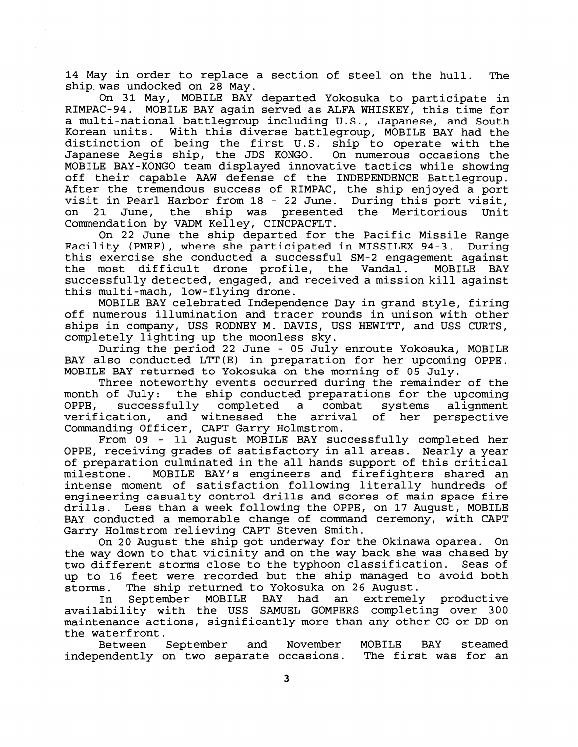14 May in order to replace a section of steel on the hull. The ship.was undocked on **28** May.

On **31** May, MOBILE BAY departed Yokosuka to participate in MOBILE BAY again served as ALFA WHISKEY, this time for a multi-national battlegroup including U.S., Japanese, and South<br>Korean units. With this diverse battlegroup, MOBILE BAY had the With this diverse battlegroup, MOBILE BAY had the distinction of being the first U.S. ship to operate with the<br>Japanese Aegis ship, the JDS KONGO. On numerous occasions the Japanese Aegis ship, the JDS KONGO. MOBILE BAY-KONGO team displayed innovative tactics while showing off their capable **AAW** defense of the INDEPENDENCE Battlegroup. After the tremendous success of RIMPAC, the ship enjoyed a port visit in Pearl Harbor from **18** - **22** June. During this port visit, on 21 June, the ship was presented the Meritorious Unit Commendation by VADM Kelley, CINCPACFLT.

On **22** June the ship departed for the Pacific Missile Range Facility (PMRF), where she participated in MISSILEX 94-3. During this exercise she conducted a successful SM-2 engagement against the most difficult drone profile, the Vandal. successfully detected, engaged, and received a mission kill against this multi-mach, low-flying drone.

MOBILE BAY celebrated Independence Day in grand style, firing off numerous illumination and tracer rounds in unison with other ships in company, USS RODNEY M. DAVIS, USS HEWITT, and USS CURTS, completely lighting up the moonless sky.

During the period **22** June - **05** July enroute Yokosuka, MOBILE BAY also conducted LTT(E) in preparation for her upcoming OPPE. MOBILE BAY returned to Yokosuka on the morning of **05** July.

Three noteworthy events occurred during the remainder of the month of July: the ship conducted preparations for the upcoming<br>OPPE, successfully completed a combat systems alignment OPPE, successfully completed a combat systems alignment verification, and witnessed the arrival of her perspective Commanding Officer, CAPT Garry Holmstrom.

From **09** - **11** August MOBILE BAY successfully completed her OPPE, receiving grades of satisfactory in all areas. Nearly a year of preparation culminated in the all hands support of this critical milestone. MOBILE RAY'S engineers and firefighters shared an intense moment of satisfaction following literally hundreds of engineering casualty control drills and scores of main space fire drills. Less than a week following the OPPE, on 17 August, MOBILE BAY conducted a memorable change of command ceremony, with CAPT Garry Holmstrom relieving CAPT Steven Smith.

On **20** August the ship got underway for the Okinawa oparea. On the way down to that vicinity and on the way back she was chased by two different storms close to the typhoon classification. Seas of up to 16 feet were recorded but the ship managed to avoid both storms. The ship returned to Yokosuka on **26** August.

In September MOBILE BAY had an extremely productive availability with the USS SAMUEL GOMPERS completing over **300**  maintenance actions, significantly more than any other CG or DD on the waterfront.

Between Septeniber and November MOBILE BAY steamed independently on two separate occasions. The first was for an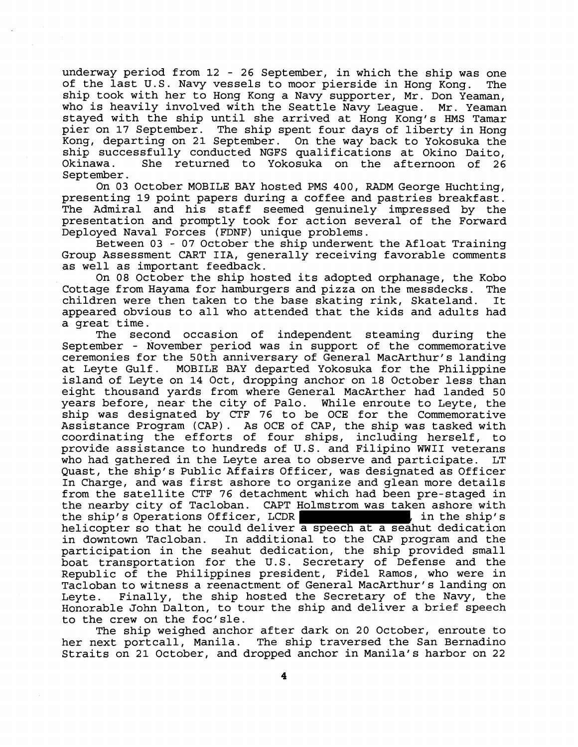underway period from 12 - 26 September, in which the ship was one of the last U.S. Navy vessels to moor pierside in Hong Kong. The ship took with her to Hong Kong a Navy supporter, Mr. Don Yeaman, who is heavily involved with the Seattle Navy League. Mr. Yeaman stayed with the ship until she arrived at Hong Kong's HMS Tamar pier on 17 September. The ship spent four days of liberty in Hong Kong, departing on 21 September. On the way back to Yokosuka the ship successfully conducted NGFS qualifications at Okino Daito,<br>Okinawa. She returned to Yokosuka on the afternoon of 26 She returned to Yokosuka on the afternoon of 26 September.

On 03 October MOBILE BAY hosted PMS 400, RADM George Huchting, presenting 19 point papers during a coffee and pastries breakfast. The Admiral and his staff seemed genuinely impressed by the presentation and promptly took for action several of the Forward Deployed Naval Forces (FDNF) unique problems.

Between 03 - 07 October the ship underwent the Afloat Training Group Assessment CART IIA, generally receiving favorable comments as well as important feedback.

On 08 October the ship hosted its adopted orphanage, the Kobo Cottage from Hayama for hamburgers and pizza on the messdecks. The children were then taken to the base skating rink, Skateland. appeared obvious to all who attended that the kids and adults had a great time.

The second occasion of independent steaming during the September - November period was in support of the commemorative ceremonies for the 50th anniversary of General MacArthur's landing at Leyte Gulf. MOBILE BAY departed Yokosuka for the Philippine island of Leyte on 14 Oct, dropping anchor on 18 October less than eight thousand yards from where General MacArther had landed 50 years before, near the city of Palo. While enroute to Leyte, the ship was designated by CTF 76 to be OCE for the Commemorative Assistance Program (CAP) . As OCE of CAP, the ship was tasked with coordinating the efforts of four ships, including herself, to provide assistance to hundreds of U.S. and Filipino WWII veterans who had gathered in the Leyte area to observe and participate. LT Quast, the ship's Public Affairs Officer, was designated as Officer In Charge, and was first ashore to organize and glean more details from the satellite CTF 76 detachment which had been pre-staged in the nearby city of Tacloban. CAPT Holmstrom was taken ashore with the ship's Operations Officer, LCDR  $\vert$  , in the ship's helicopter so that he could deliver a speech at a seahut dedication in downtown Tacloban. In additional to the CAP program and the participation in the seahut dedication, the ship provided small boat transportation for the U.S. Secretary of Defense and the Republic of the Philippines president, Fidel Ramos, who were in Tacloban to witness a reenactment of General MacArthur's landing on Leyte. Finally, the ship hosted the Secretary of the Navy, the Honorable John Dalton, to tour the ship and deliver a brief speech to the crew on the foc'sle.

The ship weighed anchor after dark on 20 October, enroute to her next portcall, Manila. The ship traversed the San Bernadino Straits on 21 October, and dropped anchor in Manila's harbor on 22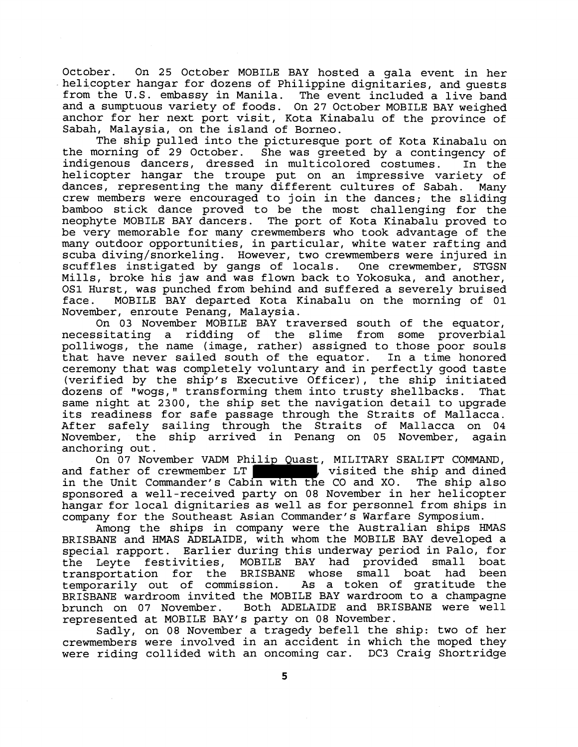October. On 25 October MOBILE BAY hosted a gala event in her helicopter hangar for dozens of Philippine dignitaries, and guests from the U.S. embassy in Manila. The event included a live band and a sumptuous variety of foods. On 27 October MOBILE BAY weighed anchor for her next port visit, Kota Kinabalu of the province of Sabah, Malaysia, on the island of Borneo.

The ship pulled into the picturesque port of Kota Kinabalu on the morning of 29 October. She was greeted by a contingency of indigenous dancers, dressed in multicolored costumes. In the helicopter hangar the troupe put on an impressive variety of dances, representing the many different cultures of Sabah. Many crew members were encouraged to join in the dances; the sliding bamboo stick dance proved to be the most challenging for the neophyte MOBILE BAY dancers. The port of Kota Kinabalu proved to be very memorable for many crewmembers who took advantage of the many outdoor opportunities, in particular, white water rafting and scuba diving/snorkeling. However, two crewmembers were injured in scuffles instigated by gangs of locals. One crewmember, STGSN Mills, broke his jaw and was flown back to Yokosuka, and another, OS1 Hurst, was punched from behind and suffered a severely bruised face. MOBILE BAY departed Kota Kinabalu on the morning of 01 November, enroute Penang, Malaysia.

On 03 November MOBILE BAY traversed south of the equator, necessitating a ridding of the slime from some proverbial polliwogs, the name (image, rather) assigned to those poor souls that have never sailed south of the equator. In a time honored ceremony that was completely voluntary and in perfectly good taste (verified by the ship's Executive Officer), the ship initiated<br>dozens of "woqs," transforming them into trusty shellbacks. That dozens of "wogs," transforming them into trusty shellbacks. same night at 2300, the ship set the navigation detail to upgrade its readiness for safe passage through the Straits of Mallacca. After safely sailing through the Straits of Mallacca on 04 November, the ship arrived in Penang on 05 November, again anchoring out.

On 07 November VADM Philip Quast, MILITARY SEALIFT COMMAND, and father of crewmember LT , visited the ship and dined in the Unit Commander's Cabin with the CO and XO. The ship also sponsored a well-received party on 08 November in her helicopter hangar for local dignitaries as well as for personnel from ships in company for the Southeast Asian Commander's Warfare Symposium.

Among the ships in company were the Australian ships HMAS BRISBANE and HMAS ADEIAIDE, with whom the MOBILE BAY developed a special rapport. Earlier during this underway period in Palo, for the Leyte festivities, MOBILE BAY had provided small boat transportation for the BRISBANE whose small boat had been temporarily out of commission. As a token of gratitude the BRISBANE wardroom invited the MOBILE BAY wardroom to a champagne brunch on 07 November. Both ADELAIDE and BRISBANE were well represented at MOBILE BAY'S party on 08 November.

Sadly, on 08 November a tragedy befell the ship: two of her crewmembers were involved in an accident in which the moped they were riding collided with an oncoming car. DC3 Craig Shortridge